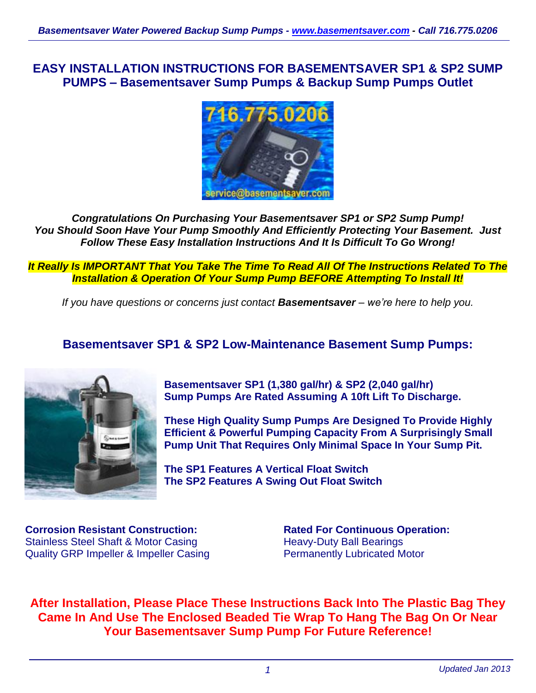**EASY INSTALLATION INSTRUCTIONS FOR BASEMENTSAVER SP1 & SP2 SUMP PUMPS – Basementsaver Sump Pumps & Backup Sump Pumps Outlet**



*Congratulations On Purchasing Your Basementsaver SP1 or SP2 Sump Pump! You Should Soon Have Your Pump Smoothly And Efficiently Protecting Your Basement. Just Follow These Easy Installation Instructions And It Is Difficult To Go Wrong!*

*It Really Is IMPORTANT That You Take The Time To Read All Of The Instructions Related To The Installation & Operation Of Your Sump Pump BEFORE Attempting To Install It!*

*If you have questions or concerns just contact Basementsaver – we're here to help you.*

## **Basementsaver SP1 & SP2 Low-Maintenance Basement Sump Pumps:**



**Basementsaver SP1 (1,380 gal/hr) & SP2 (2,040 gal/hr) Sump Pumps Are Rated Assuming A 10ft Lift To Discharge.**

**These High Quality Sump Pumps Are Designed To Provide Highly Efficient & Powerful Pumping Capacity From A Surprisingly Small Pump Unit That Requires Only Minimal Space In Your Sump Pit.**

**The SP1 Features A Vertical Float Switch The SP2 Features A Swing Out Float Switch**

**Corrosion Resistant Construction:** Stainless Steel Shaft & Motor Casing Quality GRP Impeller & Impeller Casing

**Rated For Continuous Operation:** Heavy-Duty Ball Bearings Permanently Lubricated Motor

**After Installation, Please Place These Instructions Back Into The Plastic Bag They Came In And Use The Enclosed Beaded Tie Wrap To Hang The Bag On Or Near Your Basementsaver Sump Pump For Future Reference!**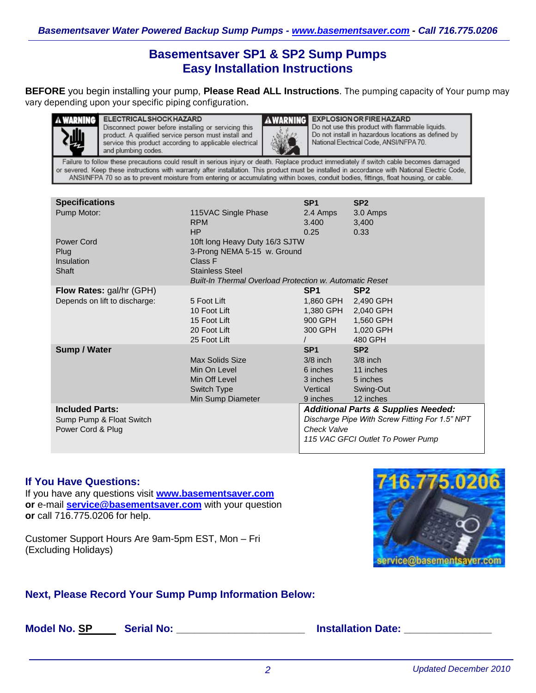# **Basementsaver SP1 & SP2 Sump Pumps Easy Installation Instructions**

**BEFORE** you begin installing your pump, **Please Read ALL Instructions**. The pumping capacity of Your pump may vary depending upon your specific piping configuration.



**A WARNING ELECTRICAL SHOCK HAZARD** Disconnect power before installing or servicing this product. A qualified service person must install and service this product according to applicable electrical and plumbing codes.



**EXPLOSION OR FIRE HAZARD** Do not use this product with flammable liquids. Do not install in hazardous locations as defined by National Electrical Code, ANSI/NFPA 70.

Failure to follow these precautions could result in serious injury or death. Replace product immediately if switch cable becomes damaged or severed. Keep these instructions with warranty after installation. This product must be installed in accordance with National Electric Code, ANSI/NFPA 70 so as to prevent moisture from entering or accumulating within boxes, conduit bodies, fittings, float housing, or cable.

| <b>Specifications</b>         |                                                                | SP <sub>1</sub>                                | SP <sub>2</sub>                                |
|-------------------------------|----------------------------------------------------------------|------------------------------------------------|------------------------------------------------|
| Pump Motor:                   | 115VAC Single Phase                                            | 2.4 Amps                                       | 3.0 Amps                                       |
|                               | <b>RPM</b>                                                     | 3.400                                          | 3,400                                          |
|                               | <b>HP</b>                                                      | 0.25                                           | 0.33                                           |
| Power Cord                    | 10ft long Heavy Duty 16/3 SJTW                                 |                                                |                                                |
| Plug                          | 3-Prong NEMA 5-15 w. Ground                                    |                                                |                                                |
| Insulation                    | Class F                                                        |                                                |                                                |
| Shaft                         | <b>Stainless Steel</b>                                         |                                                |                                                |
|                               | <b>Built-In Thermal Overload Protection w. Automatic Reset</b> |                                                |                                                |
| Flow Rates: gal/hr (GPH)      |                                                                | SP <sub>1</sub>                                | SP <sub>2</sub>                                |
| Depends on lift to discharge: | 5 Foot Lift                                                    | 1,860 GPH                                      | 2,490 GPH                                      |
|                               | 10 Foot Lift                                                   | 1,380 GPH                                      | 2,040 GPH                                      |
|                               | 15 Foot Lift                                                   | 900 GPH                                        | 1,560 GPH                                      |
|                               | 20 Foot Lift                                                   | 300 GPH                                        | 1,020 GPH                                      |
|                               | 25 Foot Lift                                                   |                                                | 480 GPH                                        |
| <b>Sump / Water</b>           |                                                                | SP <sub>1</sub>                                | SP <sub>2</sub>                                |
|                               | Max Solids Size                                                | $3/8$ inch                                     | $3/8$ inch                                     |
|                               | Min On Level                                                   | 6 inches                                       | 11 inches                                      |
|                               | Min Off Level                                                  | 3 inches                                       | 5 inches                                       |
|                               | Switch Type                                                    | Vertical                                       | Swing-Out                                      |
|                               | Min Sump Diameter                                              | 9 inches                                       | 12 inches                                      |
| <b>Included Parts:</b>        |                                                                | <b>Additional Parts &amp; Supplies Needed:</b> |                                                |
| Sump Pump & Float Switch      |                                                                |                                                | Discharge Pipe With Screw Fitting For 1.5" NPT |
| Power Cord & Plug             |                                                                | Check Valve                                    |                                                |
|                               |                                                                |                                                | 115 VAC GFCI Outlet To Power Pump              |

#### **If You Have Questions:**

If you have any questions visit **[www.basementsaver.com](http://www.basementsaver.com/) or** e-mail **[service@basementsaver.com](mailto:service@basementsaver.com)** with your question **or** call 716.775.0206 for help.

Customer Support Hours Are 9am-5pm EST, Mon – Fri (Excluding Holidays)



### **Next, Please Record Your Sump Pump Information Below:**

**Model No. SP Serial No: \_\_\_\_\_\_\_\_\_\_\_\_\_\_\_\_\_\_\_\_\_\_ Installation Date: \_\_\_\_\_\_\_\_\_\_\_\_\_\_\_**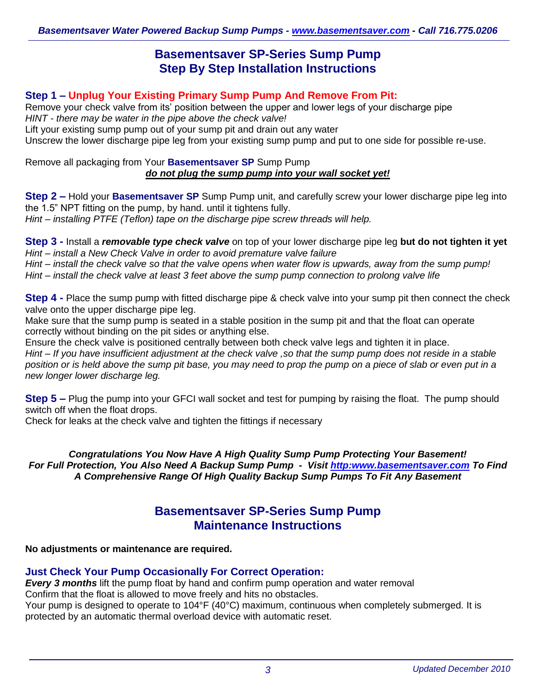# **Basementsaver SP-Series Sump Pump Step By Step Installation Instructions**

### **Step 1 – Unplug Your Existing Primary Sump Pump And Remove From Pit:**

Remove your check valve from its' position between the upper and lower legs of your discharge pipe *HINT - there may be water in the pipe above the check valve!*

Lift your existing sump pump out of your sump pit and drain out any water

Unscrew the lower discharge pipe leg from your existing sump pump and put to one side for possible re-use.

Remove all packaging from Your **Basementsaver SP** Sump Pump *do not plug the sump pump into your wall socket yet!*

**Step 2 –** Hold your **Basementsaver SP** Sump Pump unit, and carefully screw your lower discharge pipe leg into the 1.5" NPT fitting on the pump, by hand. until it tightens fully. *Hint – installing PTFE (Teflon) tape on the discharge pipe screw threads will help.*

**Step 3 -** Install a *removable type check valve* on top of your lower discharge pipe leg **but do not tighten it yet** *Hint – install a New Check Valve in order to avoid premature valve failure Hint – install the check valve so that the valve opens when water flow is upwards, away from the sump pump! Hint – install the check valve at least 3 feet above the sump pump connection to prolong valve life*

**Step 4 -** Place the sump pump with fitted discharge pipe & check valve into your sump pit then connect the check valve onto the upper discharge pipe leg.

Make sure that the sump pump is seated in a stable position in the sump pit and that the float can operate correctly without binding on the pit sides or anything else.

Ensure the check valve is positioned centrally between both check valve legs and tighten it in place. *Hint – If you have insufficient adjustment at the check valve ,so that the sump pump does not reside in a stable position or is held above the sump pit base, you may need to prop the pump on a piece of slab or even put in a new longer lower discharge leg.*

**Step 5 –** Plug the pump into your GFCI wall socket and test for pumping by raising the float. The pump should switch off when the float drops.

Check for leaks at the check valve and tighten the fittings if necessary

*Congratulations You Now Have A High Quality Sump Pump Protecting Your Basement! For Full Protection, You Also Need A Backup Sump Pump - Visit [http:www.basementsaver.com](http://www.basementsaver.com/) To Find A Comprehensive Range Of High Quality Backup Sump Pumps To Fit Any Basement*

# **Basementsaver SP-Series Sump Pump Maintenance Instructions**

#### **No adjustments or maintenance are required.**

## **Just Check Your Pump Occasionally For Correct Operation:**

*Every 3 months* lift the pump float by hand and confirm pump operation and water removal

Confirm that the float is allowed to move freely and hits no obstacles.

Your pump is designed to operate to 104°F (40°C) maximum, continuous when completely submerged. It is protected by an automatic thermal overload device with automatic reset.